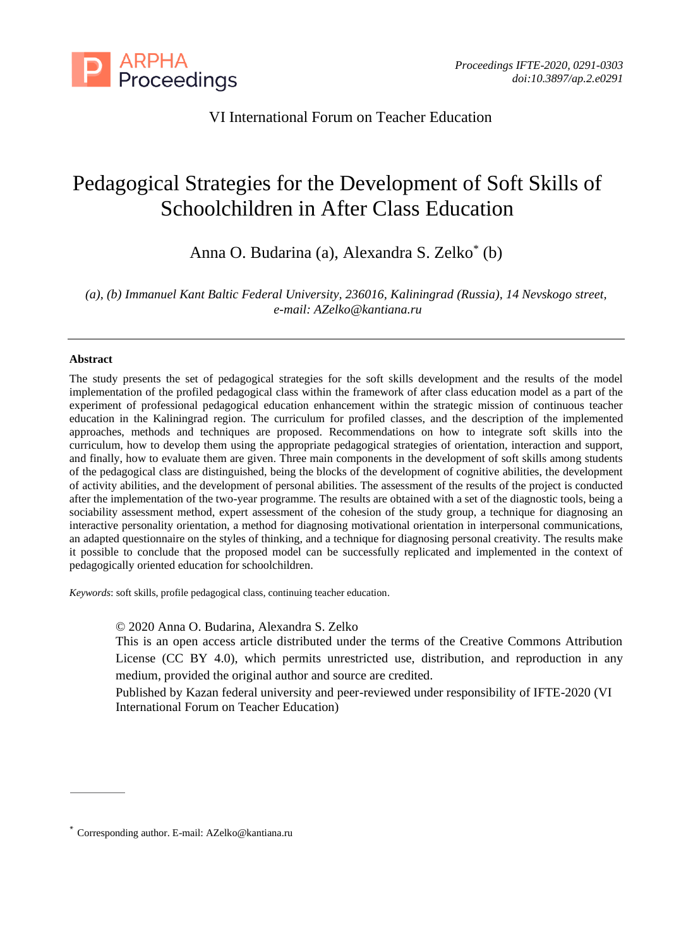

VI International Forum on Teacher Education

# Pedagogical Strategies for the Development of Soft Skills of Schoolchildren in After Class Education

Anna O. Budarina (a), Alexandra S. Zelko\* (b)

*(a), (b) Immanuel Kant Baltic Federal University, 236016, Kaliningrad (Russia), 14 Nevskogo street, e-mail: AZelko@kantiana.ru*

## **Abstract**

The study presents the set of pedagogical strategies for the soft skills development and the results of the model implementation of the profiled pedagogical class within the framework of after class education model as a part of the experiment of professional pedagogical education enhancement within the strategic mission of continuous teacher education in the Kaliningrad region. The curriculum for profiled classes, and the description of the implemented approaches, methods and techniques are proposed. Recommendations on how to integrate soft skills into the curriculum, how to develop them using the appropriate pedagogical strategies of orientation, interaction and support, and finally, how to evaluate them are given. Three main components in the development of soft skills among students of the pedagogical class are distinguished, being the blocks of the development of cognitive abilities, the development of activity abilities, and the development of personal abilities. The assessment of the results of the project is conducted after the implementation of the two-year programme. The results are obtained with a set of the diagnostic tools, being a sociability assessment method, expert assessment of the cohesion of the study group, a technique for diagnosing an interactive personality orientation, a method for diagnosing motivational orientation in interpersonal communications, an adapted questionnaire on the styles of thinking, and a technique for diagnosing personal creativity. The results make it possible to conclude that the proposed model can be successfully replicated and implemented in the context of pedagogically oriented education for schoolchildren.

*Keywords*: soft skills, profile pedagogical class, continuing teacher education.

© 2020 Anna O. Budarina, Alexandra S. Zelko

This is an open access article distributed under the terms of the Creative Commons Attribution License (CC BY 4.0), which permits unrestricted use, distribution, and reproduction in any medium, provided the original author and source are credited.

Published by Kazan federal university and peer-reviewed under responsibility of IFTE-2020 (VI International Forum on Teacher Education)

<sup>\*</sup> Corresponding author. E-mail: AZelko@kantiana.ru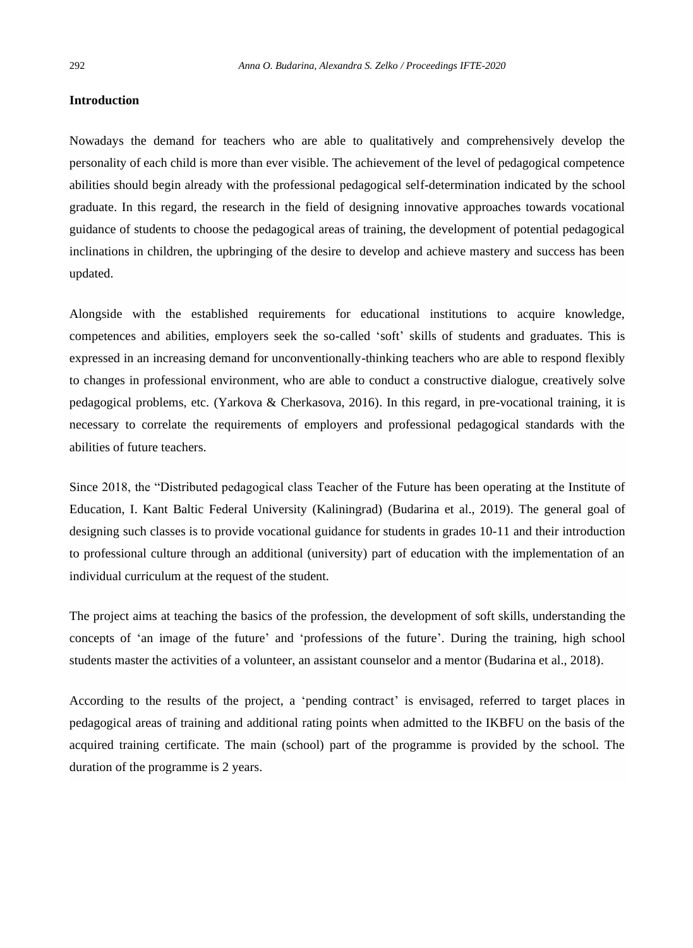#### **Introduction**

Nowadays the demand for teachers who are able to qualitatively and comprehensively develop the personality of each child is more than ever visible. The achievement of the level of pedagogical competence abilities should begin already with the professional pedagogical self-determination indicated by the school graduate. In this regard, the research in the field of designing innovative approaches towards vocational guidance of students to choose the pedagogical areas of training, the development of potential pedagogical inclinations in children, the upbringing of the desire to develop and achieve mastery and success has been updated.

Alongside with the established requirements for educational institutions to acquire knowledge, competences and abilities, employers seek the so-called 'soft' skills of students and graduates. This is expressed in an increasing demand for unconventionally-thinking teachers who are able to respond flexibly to changes in professional environment, who are able to conduct a constructive dialogue, creatively solve pedagogical problems, etc. (Yarkova & Cherkasova, 2016). In this regard, in pre-vocational training, it is necessary to correlate the requirements of employers and professional pedagogical standards with the abilities of future teachers.

Since 2018, the "Distributed pedagogical class Teacher of the Future has been operating at the Institute of Education, I. Kant Baltic Federal University (Kaliningrad) (Budarina et al., 2019). The general goal of designing such classes is to provide vocational guidance for students in grades 10-11 and their introduction to professional culture through an additional (university) part of education with the implementation of an individual curriculum at the request of the student.

The project aims at teaching the basics of the profession, the development of soft skills, understanding the concepts of 'an image of the future' and 'professions of the future'. During the training, high school students master the activities of a volunteer, an assistant counselor and a mentor (Budarina et al., 2018).

According to the results of the project, a 'pending contract' is envisaged, referred to target places in pedagogical areas of training and additional rating points when admitted to the IKBFU on the basis of the acquired training certificate. The main (school) part of the programme is provided by the school. The duration of the programme is 2 years.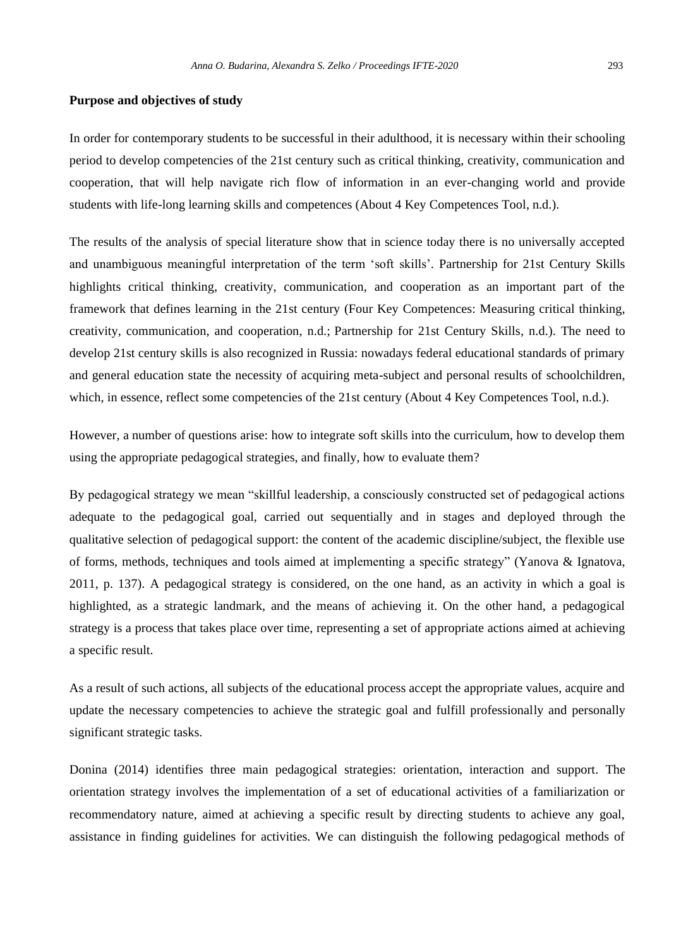#### **Purpose and objectives of study**

In order for contemporary students to be successful in their adulthood, it is necessary within their schooling period to develop competencies of the 21st century such as critical thinking, creativity, communication and cooperation, that will help navigate rich flow of information in an ever-changing world and provide students with life-long learning skills and competences (About 4 Key Competences Tool, n.d.).

The results of the analysis of special literature show that in science today there is no universally accepted and unambiguous meaningful interpretation of the term 'soft skills'. Partnership for 21st Century Skills highlights critical thinking, creativity, communication, and cooperation as an important part of the framework that defines learning in the 21st century (Four Key Competences: Measuring critical thinking, creativity, communication, and cooperation, n.d.; Partnership for 21st Century Skills, n.d.). The need to develop 21st century skills is also recognized in Russia: nowadays federal educational standards of primary and general education state the necessity of acquiring meta-subject and personal results of schoolchildren, which, in essence, reflect some competencies of the 21st century (About 4 Key Competences Tool, n.d.).

However, a number of questions arise: how to integrate soft skills into the curriculum, how to develop them using the appropriate pedagogical strategies, and finally, how to evaluate them?

By pedagogical strategy we mean "skillful leadership, a consciously constructed set of pedagogical actions adequate to the pedagogical goal, carried out sequentially and in stages and deployed through the qualitative selection of pedagogical support: the content of the academic discipline/subject, the flexible use of forms, methods, techniques and tools aimed at implementing a specific strategy" (Yanova & Ignatova, 2011, p. 137). A pedagogical strategy is considered, on the one hand, as an activity in which a goal is highlighted, as a strategic landmark, and the means of achieving it. On the other hand, a pedagogical strategy is a process that takes place over time, representing a set of appropriate actions aimed at achieving a specific result.

As a result of such actions, all subjects of the educational process accept the appropriate values, acquire and update the necessary competencies to achieve the strategic goal and fulfill professionally and personally significant strategic tasks.

Donina (2014) identifies three main pedagogical strategies: orientation, interaction and support. The orientation strategy involves the implementation of a set of educational activities of a familiarization or recommendatory nature, aimed at achieving a specific result by directing students to achieve any goal, assistance in finding guidelines for activities. We can distinguish the following pedagogical methods of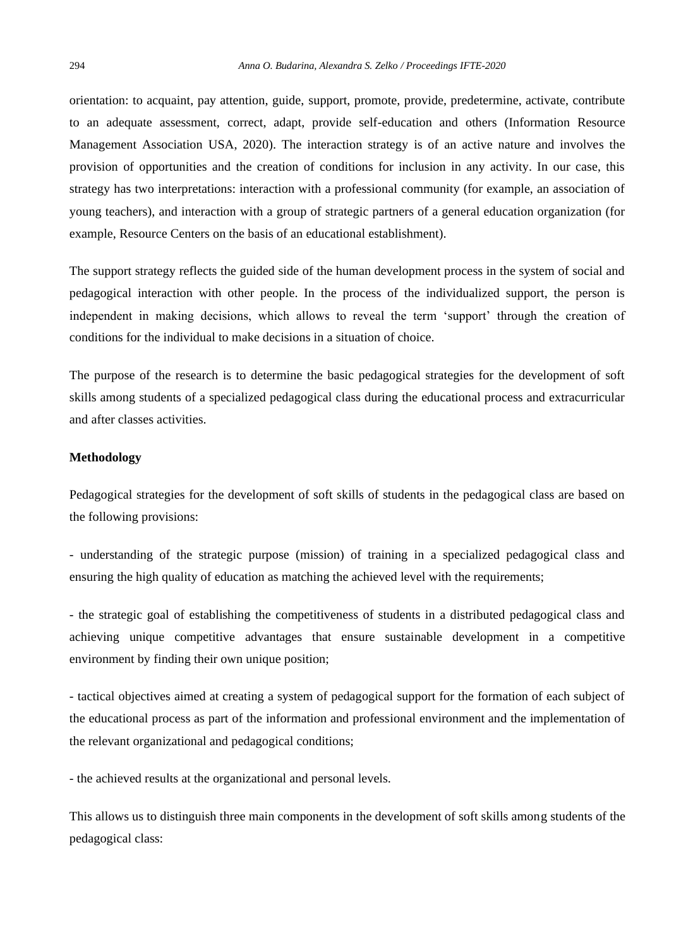orientation: to acquaint, pay attention, guide, support, promote, provide, predetermine, activate, contribute to an adequate assessment, correct, adapt, provide self-education and others (Information Resource Management Association USA, 2020). The interaction strategy is of an active nature and involves the provision of opportunities and the creation of conditions for inclusion in any activity. In our case, this strategy has two interpretations: interaction with a professional community (for example, an association of young teachers), and interaction with a group of strategic partners of a general education organization (for example, Resource Centers on the basis of an educational establishment).

The support strategy reflects the guided side of the human development process in the system of social and pedagogical interaction with other people. In the process of the individualized support, the person is independent in making decisions, which allows to reveal the term 'support' through the creation of conditions for the individual to make decisions in a situation of choice.

The purpose of the research is to determine the basic pedagogical strategies for the development of soft skills among students of a specialized pedagogical class during the educational process and extracurricular and after classes activities.

## **Methodology**

Pedagogical strategies for the development of soft skills of students in the pedagogical class are based on the following provisions:

- understanding of the strategic purpose (mission) of training in a specialized pedagogical class and ensuring the high quality of education as matching the achieved level with the requirements;

- the strategic goal of establishing the competitiveness of students in a distributed pedagogical class and achieving unique competitive advantages that ensure sustainable development in a competitive environment by finding their own unique position;

- tactical objectives aimed at creating a system of pedagogical support for the formation of each subject of the educational process as part of the information and professional environment and the implementation of the relevant organizational and pedagogical conditions;

- the achieved results at the organizational and personal levels.

This allows us to distinguish three main components in the development of soft skills among students of the pedagogical class: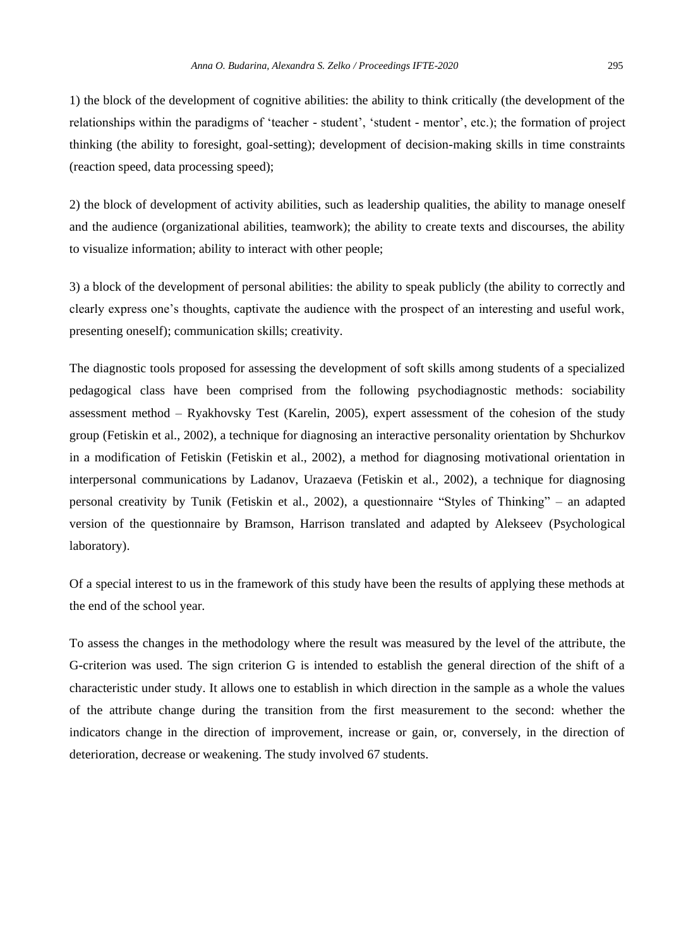1) the block of the development of cognitive abilities: the ability to think critically (the development of the relationships within the paradigms of 'teacher - student', 'student - mentor', etc.); the formation of project thinking (the ability to foresight, goal-setting); development of decision-making skills in time constraints (reaction speed, data processing speed);

2) the block of development of activity abilities, such as leadership qualities, the ability to manage oneself and the audience (organizational abilities, teamwork); the ability to create texts and discourses, the ability to visualize information; ability to interact with other people;

3) a block of the development of personal abilities: the ability to speak publicly (the ability to correctly and clearly express one's thoughts, captivate the audience with the prospect of an interesting and useful work, presenting oneself); communication skills; creativity.

The diagnostic tools proposed for assessing the development of soft skills among students of a specialized pedagogical class have been comprised from the following psychodiagnostic methods: sociability assessment method – Ryakhovsky Test (Karelin, 2005), expert assessment of the cohesion of the study group (Fetiskin et al., 2002), a technique for diagnosing an interactive personality orientation by Shchurkov in a modification of Fetiskin (Fetiskin et al., 2002), a method for diagnosing motivational orientation in interpersonal communications by Ladanov, Urazaeva (Fetiskin et al., 2002), a technique for diagnosing personal creativity by Tunik (Fetiskin et al., 2002), a questionnaire "Styles of Thinking" – an adapted version of the questionnaire by Bramson, Harrison translated and adapted by Alekseev (Psychological laboratory).

Of a special interest to us in the framework of this study have been the results of applying these methods at the end of the school year.

To assess the changes in the methodology where the result was measured by the level of the attribute, the G-criterion was used. The sign criterion G is intended to establish the general direction of the shift of a characteristic under study. It allows one to establish in which direction in the sample as a whole the values of the attribute change during the transition from the first measurement to the second: whether the indicators change in the direction of improvement, increase or gain, or, conversely, in the direction of deterioration, decrease or weakening. The study involved 67 students.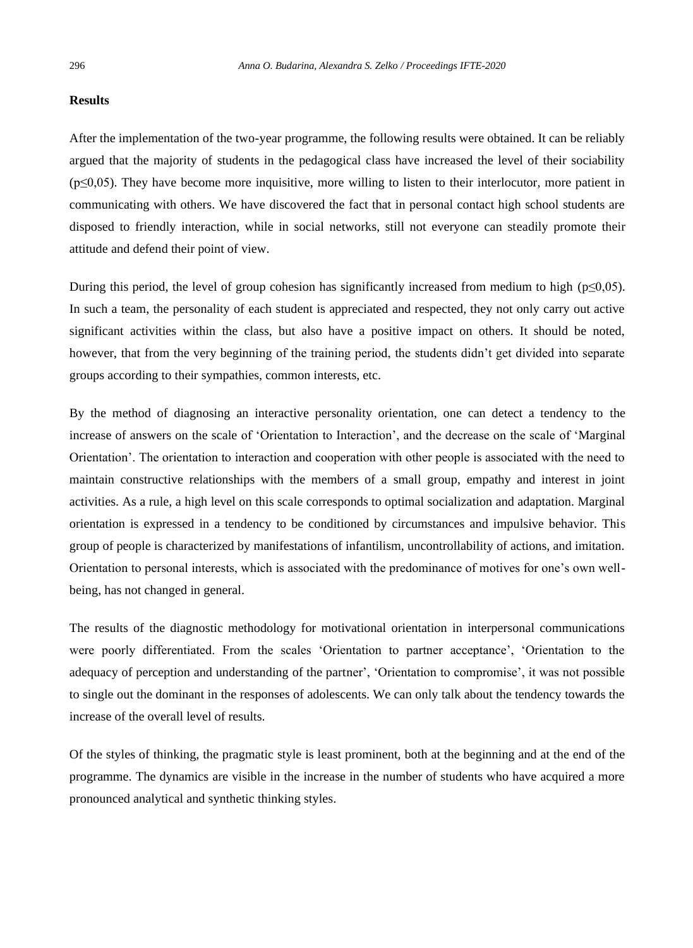#### **Results**

After the implementation of the two-year programme, the following results were obtained. It can be reliably argued that the majority of students in the pedagogical class have increased the level of their sociability (p≤0,05). They have become more inquisitive, more willing to listen to their interlocutor, more patient in communicating with others. We have discovered the fact that in personal contact high school students are disposed to friendly interaction, while in social networks, still not everyone can steadily promote their attitude and defend their point of view.

During this period, the level of group cohesion has significantly increased from medium to high ( $p \leq 0,05$ ). In such a team, the personality of each student is appreciated and respected, they not only carry out active significant activities within the class, but also have a positive impact on others. It should be noted, however, that from the very beginning of the training period, the students didn't get divided into separate groups according to their sympathies, common interests, etc.

By the method of diagnosing an interactive personality orientation, one can detect a tendency to the increase of answers on the scale of 'Orientation to Interaction', and the decrease on the scale of 'Marginal Orientation'. The orientation to interaction and cooperation with other people is associated with the need to maintain constructive relationships with the members of a small group, empathy and interest in joint activities. As a rule, a high level on this scale corresponds to optimal socialization and adaptation. Marginal orientation is expressed in a tendency to be conditioned by circumstances and impulsive behavior. This group of people is characterized by manifestations of infantilism, uncontrollability of actions, and imitation. Orientation to personal interests, which is associated with the predominance of motives for one's own wellbeing, has not changed in general.

The results of the diagnostic methodology for motivational orientation in interpersonal communications were poorly differentiated. From the scales 'Orientation to partner acceptance', 'Orientation to the adequacy of perception and understanding of the partner', 'Orientation to compromise', it was not possible to single out the dominant in the responses of adolescents. We can only talk about the tendency towards the increase of the overall level of results.

Of the styles of thinking, the pragmatic style is least prominent, both at the beginning and at the end of the programme. The dynamics are visible in the increase in the number of students who have acquired a more pronounced analytical and synthetic thinking styles.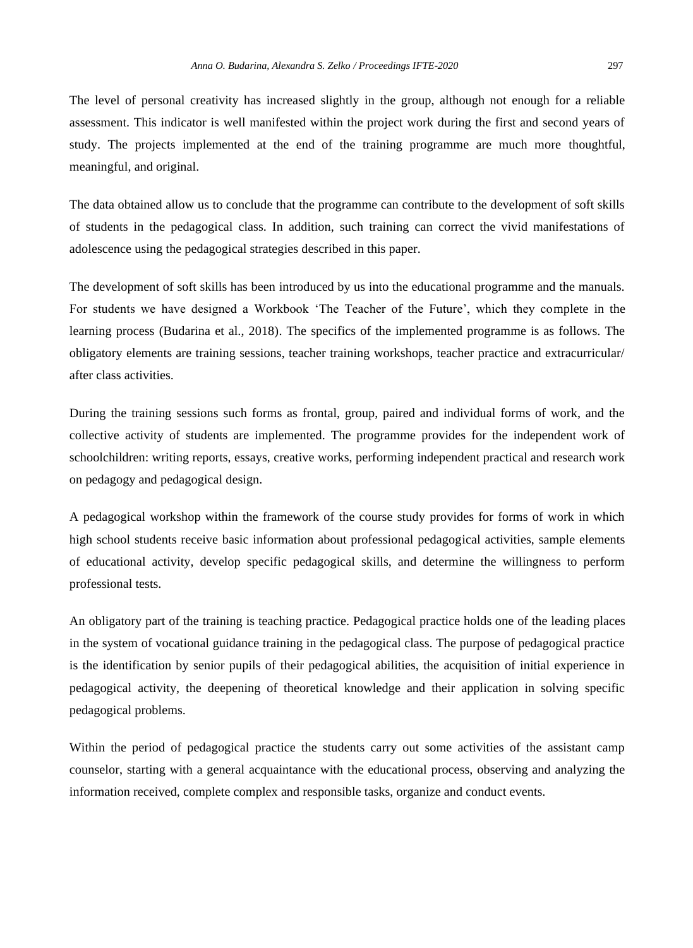The level of personal creativity has increased slightly in the group, although not enough for a reliable assessment. This indicator is well manifested within the project work during the first and second years of study. The projects implemented at the end of the training programme are much more thoughtful, meaningful, and original.

The data obtained allow us to conclude that the programme can contribute to the development of soft skills of students in the pedagogical class. In addition, such training can correct the vivid manifestations of adolescence using the pedagogical strategies described in this paper.

The development of soft skills has been introduced by us into the educational programme and the manuals. For students we have designed a Workbook 'The Teacher of the Future', which they complete in the learning process (Budarina et al., 2018). The specifics of the implemented programme is as follows. The obligatory elements are training sessions, teacher training workshops, teacher practice and extracurricular/ after class activities.

During the training sessions such forms as frontal, group, paired and individual forms of work, and the collective activity of students are implemented. The programme provides for the independent work of schoolchildren: writing reports, essays, creative works, performing independent practical and research work on pedagogy and pedagogical design.

A pedagogical workshop within the framework of the course study provides for forms of work in which high school students receive basic information about professional pedagogical activities, sample elements of educational activity, develop specific pedagogical skills, and determine the willingness to perform professional tests.

An obligatory part of the training is teaching practice. Pedagogical practice holds one of the leading places in the system of vocational guidance training in the pedagogical class. The purpose of pedagogical practice is the identification by senior pupils of their pedagogical abilities, the acquisition of initial experience in pedagogical activity, the deepening of theoretical knowledge and their application in solving specific pedagogical problems.

Within the period of pedagogical practice the students carry out some activities of the assistant camp counselor, starting with a general acquaintance with the educational process, observing and analyzing the information received, complete complex and responsible tasks, organize and conduct events.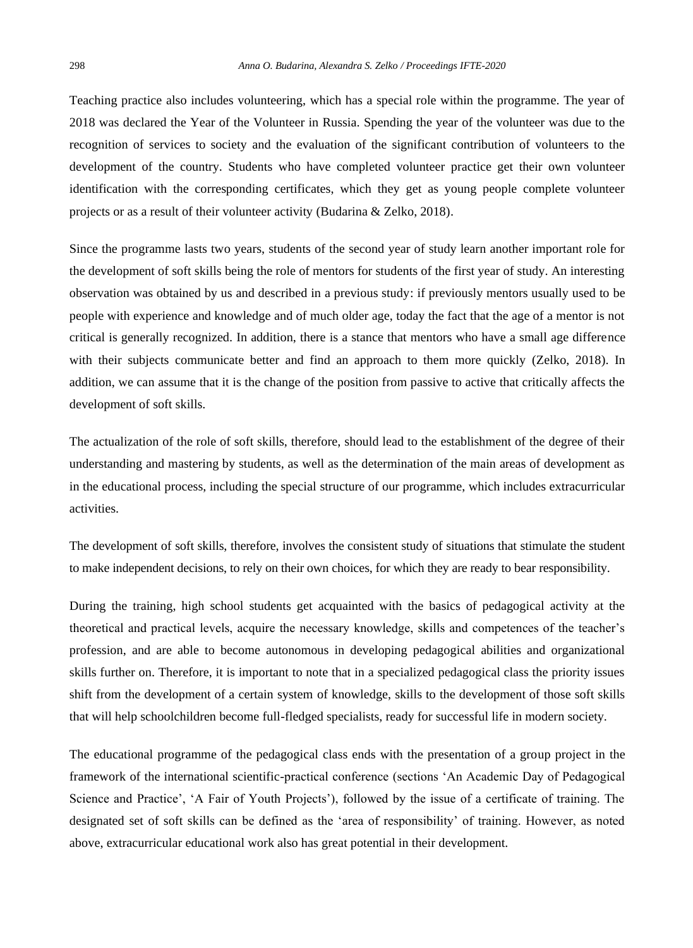Teaching practice also includes volunteering, which has a special role within the programme. The year of 2018 was declared the Year of the Volunteer in Russia. Spending the year of the volunteer was due to the recognition of services to society and the evaluation of the significant contribution of volunteers to the development of the country. Students who have completed volunteer practice get their own volunteer identification with the corresponding certificates, which they get as young people complete volunteer projects or as a result of their volunteer activity (Budarina & Zelko, 2018).

Since the programme lasts two years, students of the second year of study learn another important role for the development of soft skills being the role of mentors for students of the first year of study. An interesting observation was obtained by us and described in a previous study: if previously mentors usually used to be people with experience and knowledge and of much older age, today the fact that the age of a mentor is not critical is generally recognized. In addition, there is a stance that mentors who have a small age difference with their subjects communicate better and find an approach to them more quickly (Zelko, 2018). In addition, we can assume that it is the change of the position from passive to active that critically affects the development of soft skills.

The actualization of the role of soft skills, therefore, should lead to the establishment of the degree of their understanding and mastering by students, as well as the determination of the main areas of development as in the educational process, including the special structure of our programme, which includes extracurricular activities.

The development of soft skills, therefore, involves the consistent study of situations that stimulate the student to make independent decisions, to rely on their own choices, for which they are ready to bear responsibility.

During the training, high school students get acquainted with the basics of pedagogical activity at the theoretical and practical levels, acquire the necessary knowledge, skills and competences of the teacher's profession, and are able to become autonomous in developing pedagogical abilities and organizational skills further on. Therefore, it is important to note that in a specialized pedagogical class the priority issues shift from the development of a certain system of knowledge, skills to the development of those soft skills that will help schoolchildren become full-fledged specialists, ready for successful life in modern society.

The educational programme of the pedagogical class ends with the presentation of a group project in the framework of the international scientific-practical conference (sections 'An Academic Day of Pedagogical Science and Practice', 'A Fair of Youth Projects'), followed by the issue of a certificate of training. The designated set of soft skills can be defined as the 'area of responsibility' of training. However, as noted above, extracurricular educational work also has great potential in their development.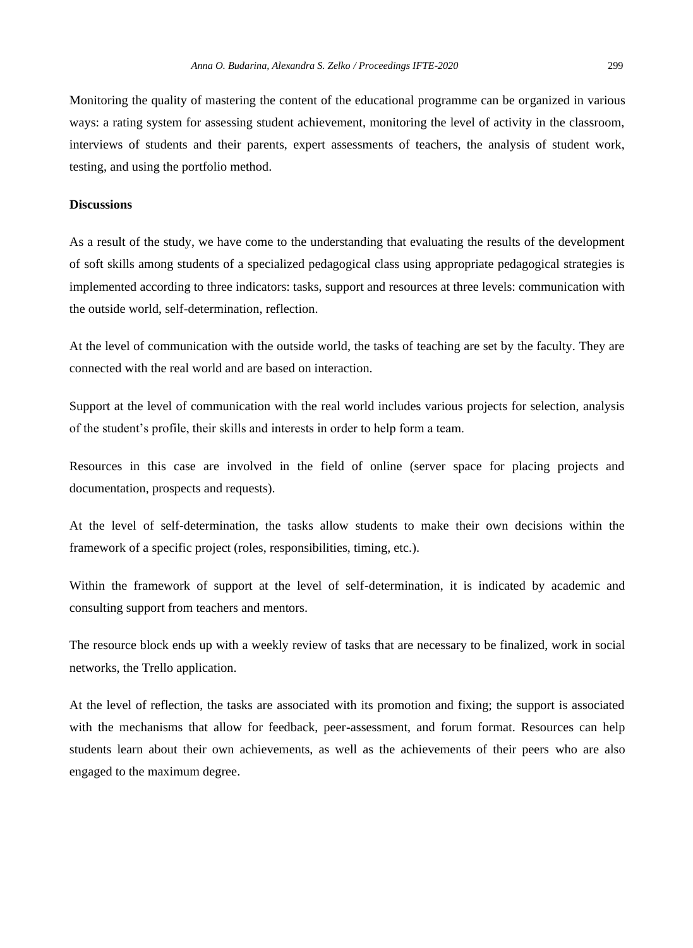Monitoring the quality of mastering the content of the educational programme can be organized in various ways: a rating system for assessing student achievement, monitoring the level of activity in the classroom, interviews of students and their parents, expert assessments of teachers, the analysis of student work, testing, and using the portfolio method.

#### **Discussions**

As a result of the study, we have come to the understanding that evaluating the results of the development of soft skills among students of a specialized pedagogical class using appropriate pedagogical strategies is implemented according to three indicators: tasks, support and resources at three levels: communication with the outside world, self-determination, reflection.

At the level of communication with the outside world, the tasks of teaching are set by the faculty. They are connected with the real world and are based on interaction.

Support at the level of communication with the real world includes various projects for selection, analysis of the student's profile, their skills and interests in order to help form a team.

Resources in this case are involved in the field of online (server space for placing projects and documentation, prospects and requests).

At the level of self-determination, the tasks allow students to make their own decisions within the framework of a specific project (roles, responsibilities, timing, etc.).

Within the framework of support at the level of self-determination, it is indicated by academic and consulting support from teachers and mentors.

The resource block ends up with a weekly review of tasks that are necessary to be finalized, work in social networks, the Trello application.

At the level of reflection, the tasks are associated with its promotion and fixing; the support is associated with the mechanisms that allow for feedback, peer-assessment, and forum format. Resources can help students learn about their own achievements, as well as the achievements of their peers who are also engaged to the maximum degree.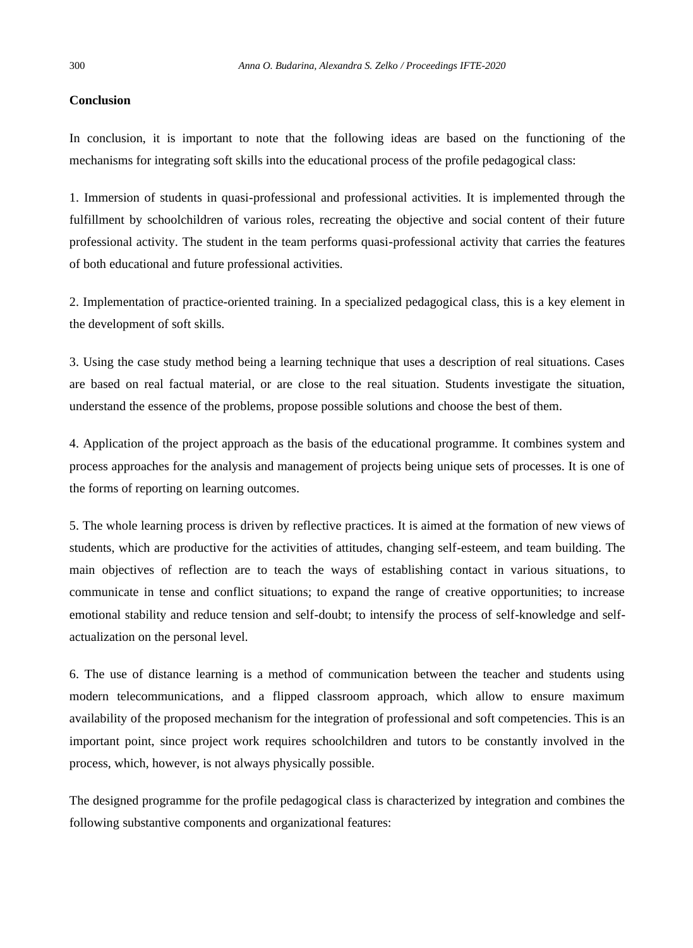## **Conclusion**

In conclusion, it is important to note that the following ideas are based on the functioning of the mechanisms for integrating soft skills into the educational process of the profile pedagogical class:

1. Immersion of students in quasi-professional and professional activities. It is implemented through the fulfillment by schoolchildren of various roles, recreating the objective and social content of their future professional activity. The student in the team performs quasi-professional activity that carries the features of both educational and future professional activities.

2. Implementation of practice-oriented training. In a specialized pedagogical class, this is a key element in the development of soft skills.

3. Using the case study method being a learning technique that uses a description of real situations. Cases are based on real factual material, or are close to the real situation. Students investigate the situation, understand the essence of the problems, propose possible solutions and choose the best of them.

4. Application of the project approach as the basis of the educational programme. It combines system and process approaches for the analysis and management of projects being unique sets of processes. It is one of the forms of reporting on learning outcomes.

5. The whole learning process is driven by reflective practices. It is aimed at the formation of new views of students, which are productive for the activities of attitudes, changing self-esteem, and team building. The main objectives of reflection are to teach the ways of establishing contact in various situations, to communicate in tense and conflict situations; to expand the range of creative opportunities; to increase emotional stability and reduce tension and self-doubt; to intensify the process of self-knowledge and selfactualization on the personal level.

6. The use of distance learning is a method of communication between the teacher and students using modern telecommunications, and a flipped classroom approach, which allow to ensure maximum availability of the proposed mechanism for the integration of professional and soft competencies. This is an important point, since project work requires schoolchildren and tutors to be constantly involved in the process, which, however, is not always physically possible.

The designed programme for the profile pedagogical class is characterized by integration and combines the following substantive components and organizational features: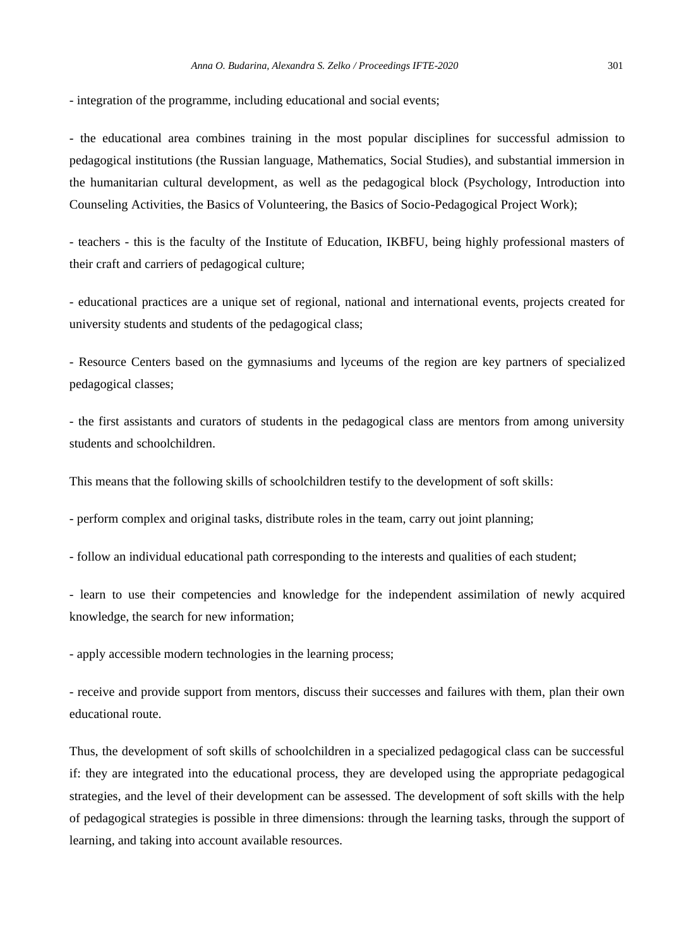- integration of the programme, including educational and social events;

- the educational area combines training in the most popular disciplines for successful admission to pedagogical institutions (the Russian language, Mathematics, Social Studies), and substantial immersion in the humanitarian cultural development, as well as the pedagogical block (Psychology, Introduction into Counseling Activities, the Basics of Volunteering, the Basics of Socio-Pedagogical Project Work);

- teachers - this is the faculty of the Institute of Education, IKBFU, being highly professional masters of their craft and carriers of pedagogical culture;

- educational practices are a unique set of regional, national and international events, projects created for university students and students of the pedagogical class;

- Resource Centers based on the gymnasiums and lyceums of the region are key partners of specialized pedagogical classes;

- the first assistants and curators of students in the pedagogical class are mentors from among university students and schoolchildren.

This means that the following skills of schoolchildren testify to the development of soft skills:

- perform complex and original tasks, distribute roles in the team, carry out joint planning;

- follow an individual educational path corresponding to the interests and qualities of each student;

- learn to use their competencies and knowledge for the independent assimilation of newly acquired knowledge, the search for new information;

- apply accessible modern technologies in the learning process;

- receive and provide support from mentors, discuss their successes and failures with them, plan their own educational route.

Thus, the development of soft skills of schoolchildren in a specialized pedagogical class can be successful if: they are integrated into the educational process, they are developed using the appropriate pedagogical strategies, and the level of their development can be assessed. The development of soft skills with the help of pedagogical strategies is possible in three dimensions: through the learning tasks, through the support of learning, and taking into account available resources.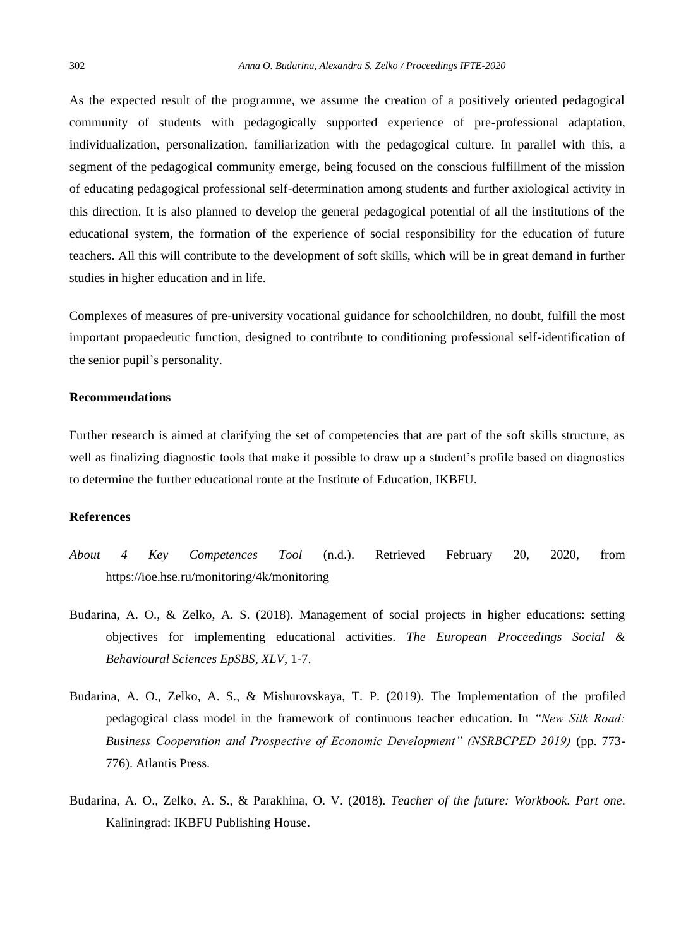As the expected result of the programme, we assume the creation of a positively oriented pedagogical community of students with pedagogically supported experience of pre-professional adaptation, individualization, personalization, familiarization with the pedagogical culture. In parallel with this, a segment of the pedagogical community emerge, being focused on the conscious fulfillment of the mission of educating pedagogical professional self-determination among students and further axiological activity in this direction. It is also planned to develop the general pedagogical potential of all the institutions of the educational system, the formation of the experience of social responsibility for the education of future teachers. All this will contribute to the development of soft skills, which will be in great demand in further studies in higher education and in life.

Complexes of measures of pre-university vocational guidance for schoolchildren, no doubt, fulfill the most important propaedeutic function, designed to contribute to conditioning professional self-identification of the senior pupil's personality.

## **Recommendations**

Further research is aimed at clarifying the set of competencies that are part of the soft skills structure, as well as finalizing diagnostic tools that make it possible to draw up a student's profile based on diagnostics to determine the further educational route at the Institute of Education, IKBFU.

## **References**

- *About 4 Key Competences Tool* (n.d.). Retrieved February 20, 2020, from <https://ioe.hse.ru/monitoring/4k/monitoring>
- Budarina, A. O., & Zelko, A. S. (2018). Management of social projects in higher educations: setting objectives for implementing educational activities. *The European Proceedings Social & Behavioural Sciences EpSBS, XLV*, 1-7.
- Budarina, A. O., Zelko, A. S., & Mishurovskaya, T. P. (2019). The Implementation of the profiled pedagogical class model in the framework of continuous teacher education. In *"New Silk Road: Business Cooperation and Prospective of Economic Development" (NSRBCPED 2019)* (pp. 773- 776). Atlantis Press.
- Budarina, A. O., Zelko, A. S., & Parakhina, O. V. (2018). *Teacher of the future: Workbook. Part one*. Kaliningrad: IKBFU Publishing House.